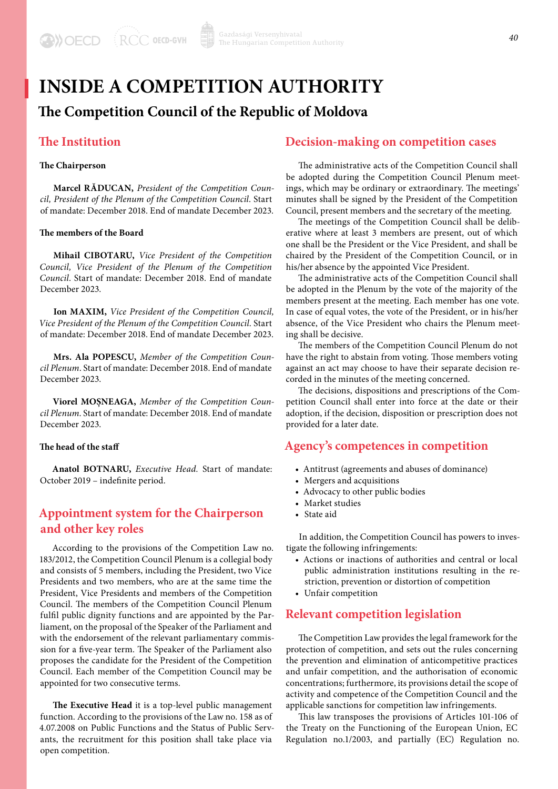# **INSIDE A COMPETITION AUTHORITY**

## **The Competition Council of the Republic of Moldova**

### **The Institution**

#### **The Chairperson**

**Marcel RĂDUCAN,** *President of the Competition Council, President of the Plenum of the Competition Council*. Start of mandate: December 2018. End of mandate December 2023.

#### **The members of the Board**

**Mihail CIBOTARU,** *Vice President of the Competition Council, Vice President of the Plenum of the Competition Council*. Start of mandate: December 2018. End of mandate December 2023.

**Ion MAXIM,** *Vice President of the Competition Council, Vice President of the Plenum of the Competition Council*. Start of mandate: December 2018. End of mandate December 2023.

**Mrs. Ala POPESCU,** *Member of the Competition Council Plenum*. Start of mandate: December 2018. End of mandate December 2023.

**Viorel MOȘNEAGA,** *Member of the Competition Council Plenum*. Start of mandate: December 2018. End of mandate December 2023.

#### **The head of the staff**

**Anatol BOTNARU,** *Executive Head.* Start of mandate: October 2019 – indefinite period.

## **Appointment system for the Chairperson and other key roles**

According to the provisions of the Competition Law no. 183/2012, the Competition Council Plenum is a collegial body and consists of 5 members, including the President, two Vice Presidents and two members, who are at the same time the President, Vice Presidents and members of the Competition Council. The members of the Competition Council Plenum fulfil public dignity functions and are appointed by the Parliament, on the proposal of the Speaker of the Parliament and with the endorsement of the relevant parliamentary commission for a five-year term. The Speaker of the Parliament also proposes the candidate for the President of the Competition Council. Each member of the Competition Council may be appointed for two consecutive terms.

**The Executive Head** it is a top-level public management function. According to the provisions of the Law no. 158 as of 4.07.2008 on Public Functions and the Status of Public Servants, the recruitment for this position shall take place via open competition.

### **Decision-making on competition cases**

The administrative acts of the Competition Council shall be adopted during the Competition Council Plenum meetings, which may be ordinary or extraordinary. The meetings' minutes shall be signed by the President of the Competition Council, present members and the secretary of the meeting.

The meetings of the Competition Council shall be deliberative where at least 3 members are present, out of which one shall be the President or the Vice President, and shall be chaired by the President of the Competition Council, or in his/her absence by the appointed Vice President.

The administrative acts of the Competition Council shall be adopted in the Plenum by the vote of the majority of the members present at the meeting. Each member has one vote. In case of equal votes, the vote of the President, or in his/her absence, of the Vice President who chairs the Plenum meeting shall be decisive.

The members of the Competition Council Plenum do not have the right to abstain from voting. Those members voting against an act may choose to have their separate decision recorded in the minutes of the meeting concerned.

The decisions, dispositions and prescriptions of the Competition Council shall enter into force at the date or their adoption, if the decision, disposition or prescription does not provided for a later date.

### **Agency's competences in competition**

- Antitrust (agreements and abuses of dominance)
- Mergers and acquisitions
- Advocacy to other public bodies
- Market studies
- State aid

In addition, the Competition Council has powers to investigate the following infringements:

- Actions or inactions of authorities and central or local public administration institutions resulting in the restriction, prevention or distortion of competition
- Unfair competition

## **Relevant competition legislation**

The Competition Law provides the legal framework for the protection of competition, and sets out the rules concerning the prevention and elimination of anticompetitive practices and unfair competition, and the authorisation of economic concentrations; furthermore, its provisions detail the scope of activity and competence of the Competition Council and the applicable sanctions for competition law infringements.

This law transposes the provisions of Articles 101-106 of the Treaty on the Functioning of the European Union, EC Regulation no.1/2003, and partially (EC) Regulation no.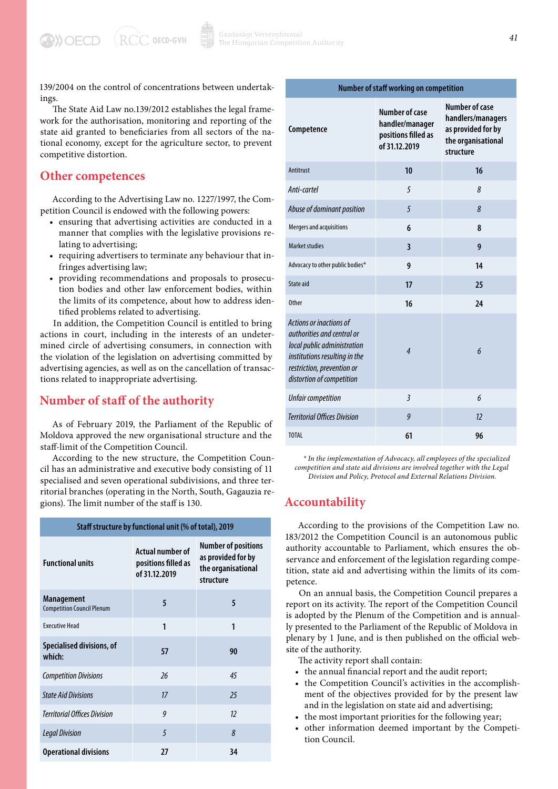$RCC$  OECD-GVH

139/2004 on the control of concentrations between undertakings.

The State Aid Law no.139/2012 establishes the legal framework for the authorisation, monitoring and reporting of the state aid granted to beneficiaries from all sectors of the national economy, except for the agriculture sector, to prevent competitive distortion.

### **Other competences**

**DOECD** 

According to the Advertising Law no. 1227/1997, the Competition Council is endowed with the following powers:

- ensuring that advertising activities are conducted in a manner that complies with the legislative provisions relating to advertising;
- requiring advertisers to terminate any behaviour that infringes advertising law;
- providing recommendations and proposals to prosecution bodies and other law enforcement bodies, within the limits of its competence, about how to address identified problems related to advertising.

In addition, the Competition Council is entitled to bring actions in court, including in the interests of an undetermined circle of advertising consumers, in connection with the violation of the legislation on advertising committed by advertising agencies, as well as on the cancellation of transactions related to inappropriate advertising.

## **Number of staff of the authority**

As of February 2019, the Parliament of the Republic of Moldova approved the new organisational structure and the staff-limit of the Competition Council.

According to the new structure, the Competition Council has an administrative and executive body consisting of 11 specialised and seven operational subdivisions, and three territorial branches (operating in the North, South, Gagauzia regions). The limit number of the staff is 130.

| Staff structure by functional unit (% of total), 2019  |                                                                 |                                                                                     |  |
|--------------------------------------------------------|-----------------------------------------------------------------|-------------------------------------------------------------------------------------|--|
| <b>Functional units</b>                                | <b>Actual number of</b><br>positions filled as<br>of 31.12.2019 | <b>Number of positions</b><br>as provided for by<br>the organisational<br>structure |  |
| <b>Management</b><br><b>Competition Council Plenum</b> | 5                                                               | 5                                                                                   |  |
| <b>Fxecutive Head</b>                                  | 1                                                               | 1                                                                                   |  |
| Specialised divisions, of<br>which:                    | 57                                                              | 90                                                                                  |  |
| <b>Competition Divisions</b>                           | $\frac{26}{3}$                                                  | 45                                                                                  |  |
| <b>State Aid Divisions</b>                             | 17                                                              | 25                                                                                  |  |
| <b>Territorial Offices Division</b>                    | $\boldsymbol{q}$                                                | 12                                                                                  |  |
| <b>Legal Division</b>                                  | 5                                                               | 8                                                                                   |  |
| <b>Operational divisions</b>                           | 27                                                              | 34                                                                                  |  |

| amper or stan working on competition                                                                                                                                             |                                                                                  |                                                                                                     |  |
|----------------------------------------------------------------------------------------------------------------------------------------------------------------------------------|----------------------------------------------------------------------------------|-----------------------------------------------------------------------------------------------------|--|
| Competence                                                                                                                                                                       | <b>Number of case</b><br>handler/manager<br>positions filled as<br>of 31.12.2019 | <b>Number of case</b><br>handlers/managers<br>as provided for by<br>the organisational<br>structure |  |
| Antitrust                                                                                                                                                                        | 10                                                                               | 16                                                                                                  |  |
| Anti-cartel                                                                                                                                                                      | 5                                                                                | 8                                                                                                   |  |
| Abuse of dominant position                                                                                                                                                       | 5                                                                                | 8                                                                                                   |  |
| Mergers and acquisitions                                                                                                                                                         | 6                                                                                | 8                                                                                                   |  |
| <b>Market studies</b>                                                                                                                                                            | $\overline{\mathbf{3}}$                                                          | 9                                                                                                   |  |
| Advocacy to other public bodies*                                                                                                                                                 | 9                                                                                | 14                                                                                                  |  |
| State aid                                                                                                                                                                        | 17                                                                               | 25                                                                                                  |  |
| <b>Other</b>                                                                                                                                                                     | 16                                                                               | 24                                                                                                  |  |
| Actions or inactions of<br>authorities and central or<br>local public administration<br>institutions resulting in the<br>restriction, prevention or<br>distortion of competition | $\overline{4}$                                                                   | 6                                                                                                   |  |
| <b>Unfair competition</b>                                                                                                                                                        | $\overline{3}$                                                                   | 6                                                                                                   |  |
| <b>Territorial Offices Division</b>                                                                                                                                              | 9                                                                                | 12                                                                                                  |  |
| <b>TOTAL</b>                                                                                                                                                                     | 61                                                                               | 96                                                                                                  |  |

*\* In the implementation of Advocacy, all employees of the specialized competition and state aid divisions are involved together with the Legal Division and Policy, Protocol and External Relations Division.*

### **Accountability**

According to the provisions of the Competition Law no. 183/2012 the Competition Council is an autonomous public authority accountable to Parliament, which ensures the observance and enforcement of the legislation regarding competition, state aid and advertising within the limits of its competence.

On an annual basis, the Competition Council prepares a report on its activity. The report of the Competition Council is adopted by the Plenum of the Competition and is annually presented to the Parliament of the Republic of Moldova in plenary by 1 June, and is then published on the official website of the authority.

The activity report shall contain:

- the annual financial report and the audit report;
- the Competition Council's activities in the accomplishment of the objectives provided for by the present law and in the legislation on state aid and advertising;
- the most important priorities for the following year;
- other information deemed important by the Competition Council.

### **Number of staff working on competition**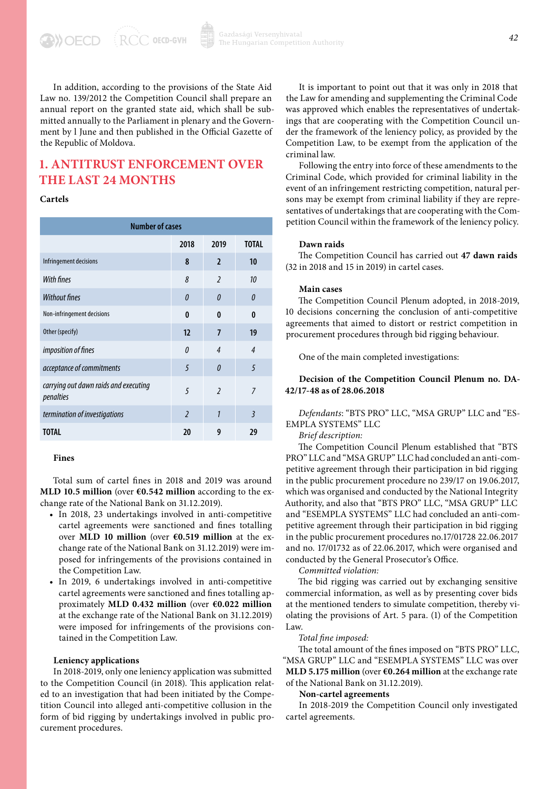In addition, according to the provisions of the State Aid Law no. 139/2012 the Competition Council shall prepare an annual report on the granted state aid, which shall be submitted annually to the Parliament in plenary and the Government by l June and then published in the Official Gazette of the Republic of Moldova.

## **1. ANTITRUST ENFORCEMENT OVER THE LAST 24 MONTHS**

#### **Cartels**

**A) OECD** 

| <b>Number of cases</b>                             |                          |                          |                |
|----------------------------------------------------|--------------------------|--------------------------|----------------|
|                                                    | 2018                     | 2019                     | <b>TOTAL</b>   |
| Infringement decisions                             | 8                        | $\overline{2}$           | 10             |
| <b>With fines</b>                                  | 8                        | $\overline{\phantom{a}}$ | 10             |
| <b>Without fines</b>                               | $\theta$                 | $\theta$                 | $\theta$       |
| Non-infringement decisions                         | $\mathbf{0}$             | $\mathbf{0}$             | $\mathbf{0}$   |
| Other (specify)                                    | 12                       | $\overline{7}$           | 19             |
| imposition of fines                                | $\theta$                 | $\overline{4}$           | $\overline{4}$ |
| acceptance of commitments                          | 5                        | $\theta$                 | 5              |
| carrying out dawn raids and executing<br>penalties | 5                        | $\overline{\phantom{a}}$ | $\overline{7}$ |
| termination of investigations                      | $\overline{\phantom{0}}$ | 1                        | $\overline{3}$ |
| TOTAL                                              | 20                       | 9                        | 29             |

#### **Fines**

Total sum of cartel fines in 2018 and 2019 was around **MLD 10.5 million** (over **€0.542 million** according to the exchange rate of the National Bank on 31.12.2019).

- In 2018, 23 undertakings involved in anti-competitive cartel agreements were sanctioned and fines totalling over **MLD 10 million** (over **€0.519 million** at the exchange rate of the National Bank on 31.12.2019) were imposed for infringements of the provisions contained in the Competition Law.
- In 2019, 6 undertakings involved in anti-competitive cartel agreements were sanctioned and fines totalling approximately **MLD 0.432 million** (over **€0.022 million** at the exchange rate of the National Bank on 31.12.2019) were imposed for infringements of the provisions contained in the Competition Law.

#### **Leniency applications**

In 2018-2019, only one leniency application was submitted to the Competition Council (in 2018). This application related to an investigation that had been initiated by the Competition Council into alleged anti-competitive collusion in the form of bid rigging by undertakings involved in public procurement procedures.

It is important to point out that it was only in 2018 that the Law for amending and supplementing the Criminal Code was approved which enables the representatives of undertakings that are cooperating with the Competition Council under the framework of the leniency policy, as provided by the Competition Law, to be exempt from the application of the criminal law.

Following the entry into force of these amendments to the Criminal Code, which provided for criminal liability in the event of an infringement restricting competition, natural persons may be exempt from criminal liability if they are representatives of undertakings that are cooperating with the Competition Council within the framework of the leniency policy.

#### **Dawn raids**

The Competition Council has carried out **47 dawn raids** (32 in 2018 and 15 in 2019) in cartel cases.

#### **Main cases**

The Competition Council Plenum adopted, in 2018-2019, 10 decisions concerning the conclusion of anti-competitive agreements that aimed to distort or restrict competition in procurement procedures through bid rigging behaviour.

One of the main completed investigations:

#### **Decision of the Competition Council Plenum no. DA-42/17-48 as of 28.06.2018**

*Defendants*: "BTS PRO" LLC, "MSA GRUP" LLC and "ES-EMPLA SYSTEMS" LLC

#### *Brief description:*

The Competition Council Plenum established that "BTS PRO" LLC and "MSA GRUP" LLC had concluded an anti-competitive agreement through their participation in bid rigging in the public procurement procedure no 239/17 on 19.06.2017, which was organised and conducted by the National Integrity Authority, and also that "BTS PRO" LLC, "MSA GRUP" LLC and "ESEMPLA SYSTEMS" LLC had concluded an anti-competitive agreement through their participation in bid rigging in the public procurement procedures no.17/01728 22.06.2017 and no. 17/01732 as of 22.06.2017, which were organised and conducted by the General Prosecutor's Office.

*Committed violation:*

The bid rigging was carried out by exchanging sensitive commercial information, as well as by presenting cover bids at the mentioned tenders to simulate competition, thereby violating the provisions of Art. 5 para. (1) of the Competition Law.

#### *Total fine imposed:*

The total amount of the fines imposed on "BTS PRO" LLC, "MSA GRUP" LLC and "ESEMPLA SYSTEMS" LLC was over **MLD 5.175 million** (over **€0.264 million** at the exchange rate of the National Bank on 31.12.2019).

#### **Non-cartel agreements**

In 2018-2019 the Competition Council only investigated cartel agreements.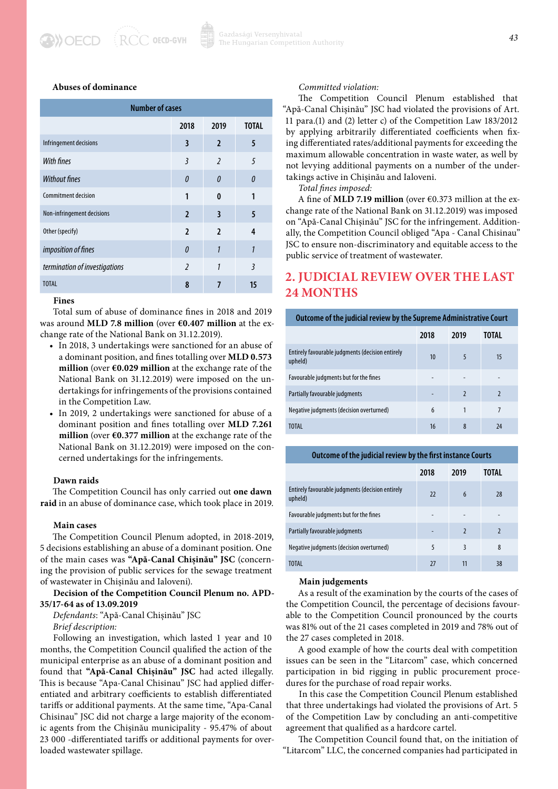#### $RCC$  OECD-GVH **DOECD**

#### **Abuses of dominance**

| <b>Number of cases</b>        |                          |                          |                         |
|-------------------------------|--------------------------|--------------------------|-------------------------|
|                               | 2018                     | 2019                     | <b>TOTAL</b>            |
| Infringement decisions        | 3                        | $\overline{2}$           | 5                       |
| With fines                    | 3                        | $\overline{\phantom{a}}$ | 5                       |
| <b>Without fines</b>          | $\theta$                 | $\theta$                 | $\Omega$                |
| <b>Commitment decision</b>    | 1                        | $\mathbf{0}$             | 1                       |
| Non-infringement decisions    | $\overline{\phantom{a}}$ | 3                        | 5                       |
| Other (specify)               | $\overline{2}$           | $\overline{\phantom{a}}$ | 4                       |
| imposition of fines           | $\theta$                 | 1                        | 1                       |
| termination of investigations | $\overline{\phantom{a}}$ | 1                        | $\overline{\mathbf{3}}$ |
| <b>TOTAL</b>                  | 8                        | 7                        | 15                      |

#### **Fines**

Total sum of abuse of dominance fines in 2018 and 2019 was around **MLD 7.8 million** (over **€0.407 million** at the exchange rate of the National Bank on 31.12.2019).

- In 2018, 3 undertakings were sanctioned for an abuse of a dominant position, and fines totalling over **MLD 0.573 million** (over **€0.029 million** at the exchange rate of the National Bank on 31.12.2019) were imposed on the undertakings for infringements of the provisions contained in the Competition Law.
- In 2019, 2 undertakings were sanctioned for abuse of a dominant position and fines totalling over **MLD 7.261 million** (over **€0.377 million** at the exchange rate of the National Bank on 31.12.2019) were imposed on the concerned undertakings for the infringements.

#### **Dawn raids**

The Competition Council has only carried out **one dawn raid** in an abuse of dominance case, which took place in 2019.

#### **Main cases**

The Competition Council Plenum adopted, in 2018-2019, 5 decisions establishing an abuse of a dominant position. One of the main cases was **"Apă-Canal Chișinău" JSC** (concerning the provision of public services for the sewage treatment of wastewater in Chișinău and Ialoveni).

**Decision of the Competition Council Plenum no. APD-35/17-64 as of 13.09.2019**

*Defendants*: "Apă-Canal Chișinău" JSC

#### *Brief description:*

Following an investigation, which lasted 1 year and 10 months, the Competition Council qualified the action of the municipal enterprise as an abuse of a dominant position and found that **"Apă-Canal Chișinău" JSC** had acted illegally. This is because "Apa-Canal Chisinau" JSC had applied differentiated and arbitrary coefficients to establish differentiated tariffs or additional payments. At the same time, "Apa-Canal Chisinau" JSC did not charge a large majority of the economic agents from the Chișinău municipality - 95.47% of about 23 000 *-*differentiated tariffs or additional payments for overloaded wastewater spillage.

#### *Committed violation:*

The Competition Council Plenum established that "Apă-Canal Chișinău" JSC had violated the provisions of Art. 11 para.(1) and (2) letter c) of the Competition Law 183/2012 by applying arbitrarily differentiated coefficients when fixing differentiated rates/additional payments for exceeding the maximum allowable concentration in waste water, as well by not levying additional payments on a number of the undertakings active in Chișinău and Ialoveni.

*Total fines imposed:*

A fine of **MLD 7.19 million** (over €0.373 million at the exchange rate of the National Bank on 31.12.2019) was imposed on "Apă-Canal Chișinău" JSC for the infringement. Additionally, the Competition Council obliged "Apa - Canal Chisinau" JSC to ensure non-discriminatory and equitable access to the public service of treatment of wastewater.

## **2. JUDICIAL REVIEW OVER THE LAST 24 MONTHS**

#### **Outcome of the judicial review by the Supreme Administrative Court**

|                                                             | 2018 | 2019                     | TOTAL                    |
|-------------------------------------------------------------|------|--------------------------|--------------------------|
| Entirely favourable judgments (decision entirely<br>upheld) | 10   | 5                        | 15                       |
| Favourable judgments but for the fines                      |      |                          |                          |
| Partially favourable judgments                              |      | $\overline{\phantom{0}}$ | $\overline{\phantom{0}}$ |
| Negative judgments (decision overturned)                    | 6    |                          | 7                        |
| <b>TOTAL</b>                                                | 16   | 8                        | 24                       |

#### **Outcome of the judicial review by the first instance Courts**

|                                                             | 2018                     | 2019           | TOTAL                    |
|-------------------------------------------------------------|--------------------------|----------------|--------------------------|
| Entirely favourable judgments (decision entirely<br>upheld) | 22                       | 6              | 28                       |
| Favourable judgments but for the fines                      | $\overline{\phantom{0}}$ |                |                          |
| Partially favourable judgments                              |                          | $\overline{2}$ | $\overline{\phantom{0}}$ |
| Negative judgments (decision overturned)                    | 5                        | 3              | 8                        |
| <b>TOTAL</b>                                                | 77                       | 11             | 38                       |

#### **Main judgements**

As a result of the examination by the courts of the cases of the Competition Council, the percentage of decisions favourable to the Competition Council pronounced by the courts was 81% out of the 21 cases completed in 2019 and 78% out of the 27 cases completed in 2018.

A good example of how the courts deal with competition issues can be seen in the "Litarcom" case, which concerned participation in bid rigging in public procurement procedures for the purchase of road repair works.

In this case the Competition Council Plenum established that three undertakings had violated the provisions of Art. 5 of the Competition Law by concluding an anti-competitive agreement that qualified as a hardcore cartel.

The Competition Council found that, on the initiation of "Litarcom" LLC, the concerned companies had participated in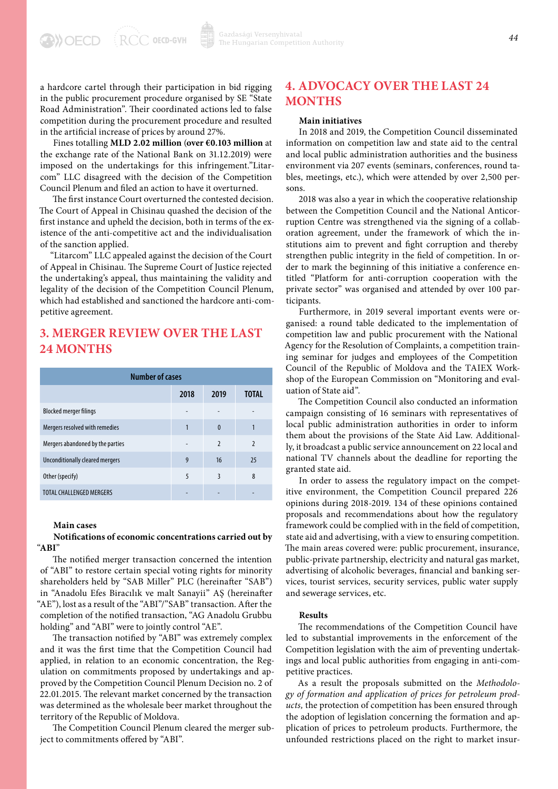a hardcore cartel through their participation in bid rigging in the public procurement procedure organised by SE "State Road Administration". Their coordinated actions led to false competition during the procurement procedure and resulted in the artificial increase of prices by around 27%.

Fines totalling **MLD 2.02 million** (**over €0.103 million** at the exchange rate of the National Bank on 31.12.2019) were imposed on the undertakings for this infringement."Litarcom" LLC disagreed with the decision of the Competition Council Plenum and filed an action to have it overturned.

The first instance Court overturned the contested decision. The Court of Appeal in Chisinau quashed the decision of the first instance and upheld the decision, both in terms of the existence of the anti-competitive act and the individualisation of the sanction applied.

"Litarcom" LLC appealed against the decision of the Court of Appeal in Chisinau. The Supreme Court of Justice rejected the undertaking's appeal, thus maintaining the validity and legality of the decision of the Competition Council Plenum, which had established and sanctioned the hardcore anti-competitive agreement.

## **3. MERGER REVIEW OVER THE LAST 24 MONTHS**

| <b>Number of cases</b>           |      |                          |                |
|----------------------------------|------|--------------------------|----------------|
|                                  | 2018 | 2019                     | TOTAL          |
| <b>Blocked merger filings</b>    |      |                          |                |
| Mergers resolved with remedies   | 1    | $\bf{0}$                 |                |
| Mergers abandoned by the parties |      | $\overline{\phantom{0}}$ | $\overline{2}$ |
| Unconditionally cleared mergers  | 9    | 16                       | 25             |
| Other (specify)                  | 5    | 3                        | 8              |
| <b>TOTAL CHALLENGED MERGERS</b>  |      |                          |                |

#### **Main cases**

#### **Notifications of economic concentrations carried out by**  "**ABI**"

The notified merger transaction concerned the intention of "ABI" to restore certain special voting rights for minority shareholders held by "SAB Miller" PLC (hereinafter "SAB") in "Anadolu Efes Biracılık ve malt Sanayii" AŞ (hereinafter "AE"), lost as a result of the "ABI"/"SAB" transaction. After the completion of the notified transaction, "AG Anadolu Grubbu holding" and "ABI" were to jointly control "AE".

The transaction notified by "ABI" was extremely complex and it was the first time that the Competition Council had applied, in relation to an economic concentration, the Regulation on commitments proposed by undertakings and approved by the Competition Council Plenum Decision no. 2 of 22.01.2015. The relevant market concerned by the transaction was determined as the wholesale beer market throughout the territory of the Republic of Moldova.

The Competition Council Plenum cleared the merger subject to commitments offered by "ABI".

## **4. ADVOCACY OVER THE LAST 24 MONTHS**

#### **Main initiatives**

In 2018 and 2019, the Competition Council disseminated information on competition law and state aid to the central and local public administration authorities and the business environment via 207 events (seminars, conferences, round tables, meetings, etc.), which were attended by over 2,500 persons.

2018 was also a year in which the cooperative relationship between the Competition Council and the National Anticorruption Centre was strengthened via the signing of a collaboration agreement, under the framework of which the institutions aim to prevent and fight corruption and thereby strengthen public integrity in the field of competition. In order to mark the beginning of this initiative a conference entitled "Platform for anti-corruption cooperation with the private sector" was organised and attended by over 100 participants.

Furthermore, in 2019 several important events were organised: a round table dedicated to the implementation of competition law and public procurement with the National Agency for the Resolution of Complaints, a competition training seminar for judges and employees of the Competition Council of the Republic of Moldova and the TAIEX Workshop of the European Commission on "Monitoring and evaluation of State aid".

The Competition Council also conducted an information campaign consisting of 16 seminars with representatives of local public administration authorities in order to inform them about the provisions of the State Aid Law. Additionally, it broadcast a public service announcement on 22 local and national TV channels about the deadline for reporting the granted state aid.

In order to assess the regulatory impact on the competitive environment, the Competition Council prepared 226 opinions during 2018-2019. 134 of these opinions contained proposals and recommendations about how the regulatory framework could be complied with in the field of competition, state aid and advertising, with a view to ensuring competition. The main areas covered were: public procurement, insurance, public-private partnership, electricity and natural gas market, advertising of alcoholic beverages, financial and banking services, tourist services, security services, public water supply and sewerage services, etc.

#### **Results**

The recommendations of the Competition Council have led to substantial improvements in the enforcement of the Competition legislation with the aim of preventing undertakings and local public authorities from engaging in anti-competitive practices.

As a result the proposals submitted on the *Methodology of formation and application of prices for petroleum products,* the protection of competition has been ensured through the adoption of legislation concerning the formation and application of prices to petroleum products. Furthermore, the unfounded restrictions placed on the right to market insur